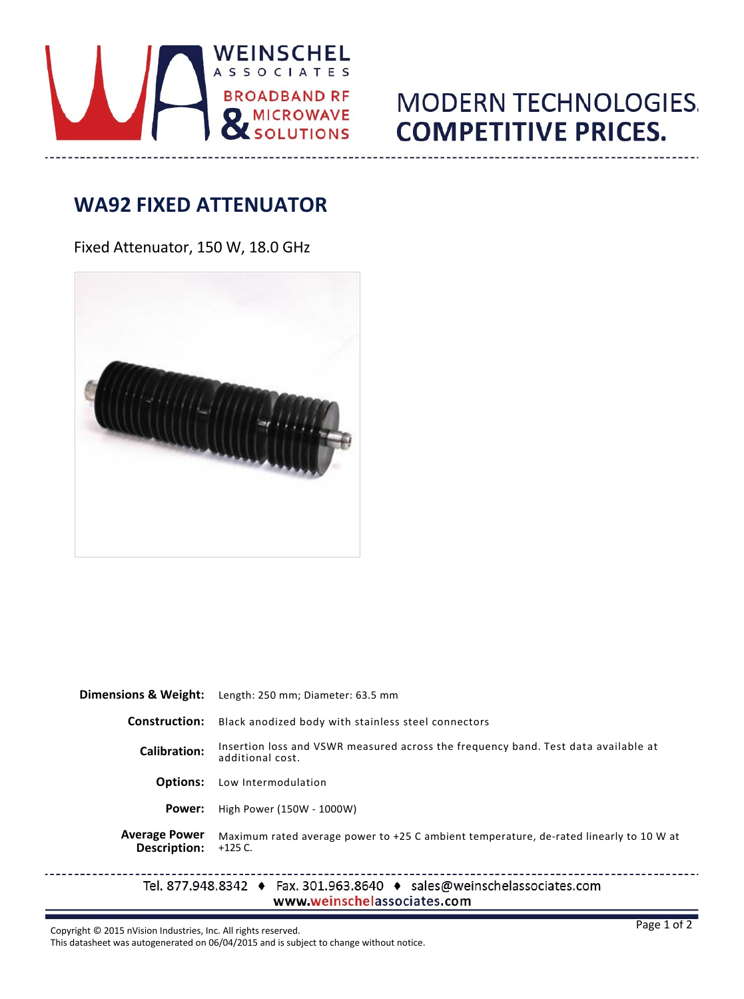

## **MODERN TECHNOLOGIES. COMPETITIVE PRICES.**

## **WA92 FIXED ATTENUATOR**

Fixed Attenuator, 150 W, 18.0 GHz



| Dimensions & Weight:                 | Length: 250 mm; Diameter: 63.5 mm                                                                                                    |  |  |
|--------------------------------------|--------------------------------------------------------------------------------------------------------------------------------------|--|--|
| <b>Construction:</b>                 | Black anodized body with stainless steel connectors                                                                                  |  |  |
| <b>Calibration:</b>                  | Insertion loss and VSWR measured across the frequency band. Test data available at<br>additional cost.                               |  |  |
| <b>Options:</b>                      | Low Intermodulation                                                                                                                  |  |  |
| Power:                               | High Power (150W - 1000W)                                                                                                            |  |  |
| <b>Average Power</b><br>Description: | Maximum rated average power to +25 C ambient temperature, de-rated linearly to 10 W at<br>$+125$ C.                                  |  |  |
|                                      | Tel. 877.948.8342 $\leftrightarrow$ Fax. 301.963.8640 $\leftrightarrow$ sales@weinschelassociates.com<br>www.weinschelassociates.com |  |  |

Copyright © 2015 nVision Industries, Inc. All rights reserved.

 $- - -$ 

This datasheet was autogenerated on 06/04/2015 and is subject to change without notice.